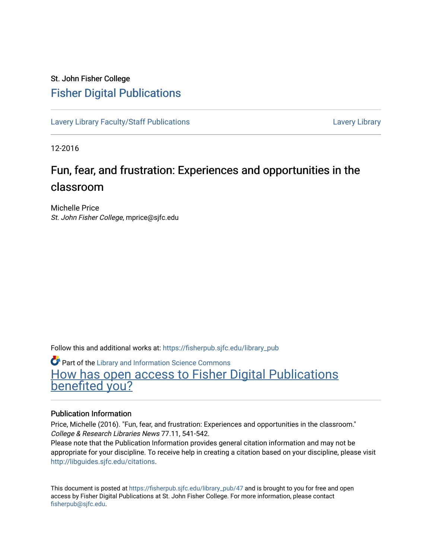## St. John Fisher College [Fisher Digital Publications](https://fisherpub.sjfc.edu/)

[Lavery Library Faculty/Staff Publications](https://fisherpub.sjfc.edu/library_pub) [Lavery Library](https://fisherpub.sjfc.edu/library) Lavery Library

12-2016

# Fun, fear, and frustration: Experiences and opportunities in the classroom

Michelle Price St. John Fisher College, mprice@sjfc.edu

Follow this and additional works at: [https://fisherpub.sjfc.edu/library\\_pub](https://fisherpub.sjfc.edu/library_pub?utm_source=fisherpub.sjfc.edu%2Flibrary_pub%2F47&utm_medium=PDF&utm_campaign=PDFCoverPages)

**Part of the Library and Information Science Commons** 

[How has open access to Fisher Digital Publications](https://docs.google.com/forms/d/14zrnDfH9d1wcdq8oG_-gFabAsxfcH5claltx85ZWyTg/viewform?entry.1394608989=https://fisherpub.sjfc.edu/library_pub/47%3Chttps://docs.google.com/forms/d/14zrnDfH9d1wcdq8oG_-gFabAsxfcH5claltx85ZWyTg/viewform?entry.1394608989=%7bhttps://fisherpub.sjfc.edu/library_pub/47%7d) [benefited you?](https://docs.google.com/forms/d/14zrnDfH9d1wcdq8oG_-gFabAsxfcH5claltx85ZWyTg/viewform?entry.1394608989=https://fisherpub.sjfc.edu/library_pub/47%3Chttps://docs.google.com/forms/d/14zrnDfH9d1wcdq8oG_-gFabAsxfcH5claltx85ZWyTg/viewform?entry.1394608989=%7bhttps://fisherpub.sjfc.edu/library_pub/47%7d)

#### Publication Information

Price, Michelle (2016). "Fun, fear, and frustration: Experiences and opportunities in the classroom." College & Research Libraries News 77.11, 541-542.

Please note that the Publication Information provides general citation information and may not be appropriate for your discipline. To receive help in creating a citation based on your discipline, please visit [http://libguides.sjfc.edu/citations.](http://libguides.sjfc.edu/citations)

This document is posted at [https://fisherpub.sjfc.edu/library\\_pub/47](https://fisherpub.sjfc.edu/library_pub/47) and is brought to you for free and open access by Fisher Digital Publications at St. John Fisher College. For more information, please contact [fisherpub@sjfc.edu](mailto:fisherpub@sjfc.edu).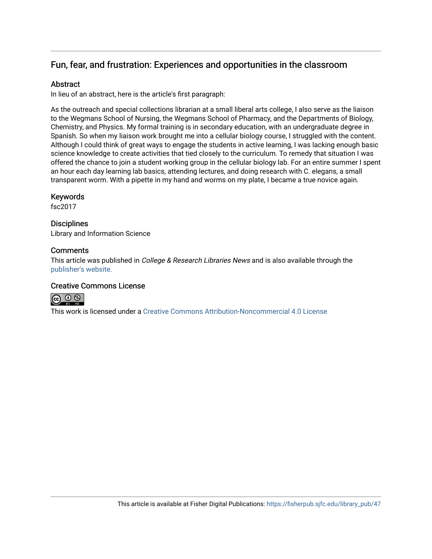### Fun, fear, and frustration: Experiences and opportunities in the classroom

### Abstract

In lieu of an abstract, here is the article's first paragraph:

As the outreach and special collections librarian at a small liberal arts college, I also serve as the liaison to the Wegmans School of Nursing, the Wegmans School of Pharmacy, and the Departments of Biology, Chemistry, and Physics. My formal training is in secondary education, with an undergraduate degree in Spanish. So when my liaison work brought me into a cellular biology course, I struggled with the content. Although I could think of great ways to engage the students in active learning, I was lacking enough basic science knowledge to create activities that tied closely to the curriculum. To remedy that situation I was offered the chance to join a student working group in the cellular biology lab. For an entire summer I spent an hour each day learning lab basics, attending lectures, and doing research with C. elegans, a small transparent worm. With a pipette in my hand and worms on my plate, I became a true novice again.

#### Keywords

fsc2017

#### **Disciplines**

Library and Information Science

### **Comments**

This article was published in *College & Research Libraries News* and is also available through the [publisher's website.](http://crln.acrl.org/content/77/11/541.full)

#### Creative Commons License



This work is licensed under a [Creative Commons Attribution-Noncommercial 4.0 License](https://creativecommons.org/licenses/by-nc/4.0/)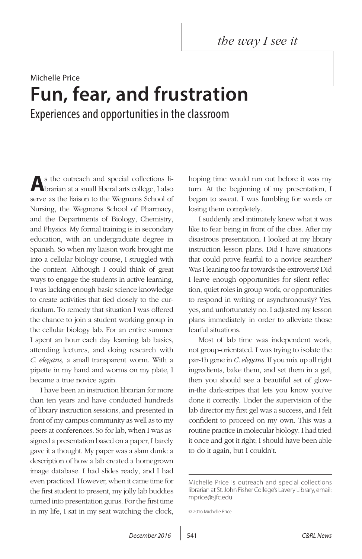*the way I see it*

# Michelle Price **Fun, fear, and frustration** Experiences and opportunities in the classroom

**A**s the outreach and special collections librarian at a small liberal arts college, I also serve as the liaison to the Wegmans School of Nursing, the Wegmans School of Pharmacy, and the Departments of Biology, Chemistry, and Physics. My formal training is in secondary education, with an undergraduate degree in Spanish. So when my liaison work brought me into a cellular biology course, I struggled with the content. Although I could think of great ways to engage the students in active learning, I was lacking enough basic science knowledge to create activities that tied closely to the curriculum. To remedy that situation I was offered the chance to join a student working group in the cellular biology lab. For an entire summer I spent an hour each day learning lab basics, attending lectures, and doing research with *C. elegans,* a small transparent worm. With a pipette in my hand and worms on my plate, I became a true novice again.

I have been an instruction librarian for more than ten years and have conducted hundreds of library instruction sessions, and presented in front of my campus community as well as to my peers at conferences. So for lab, when I was assigned a presentation based on a paper, I barely gave it a thought. My paper was a slam dunk: a description of how a lab created a homegrown image database. I had slides ready, and I had even practiced. However, when it came time for the first student to present, my jolly lab buddies turned into presentation gurus. For the first time in my life, I sat in my seat watching the clock,

hoping time would run out before it was my turn. At the beginning of my presentation, I began to sweat. I was fumbling for words or losing them completely.

I suddenly and intimately knew what it was like to fear being in front of the class. After my disastrous presentation, I looked at my library instruction lesson plans. Did I have situations that could prove fearful to a novice searcher? Was I leaning too far towards the extroverts? Did I leave enough opportunities for silent reflection, quiet roles in group work, or opportunities to respond in writing or asynchronously? Yes, yes, and unfortunately no. I adjusted my lesson plans immediately in order to alleviate those fearful situations.

Most of lab time was independent work, not group-orientated. I was trying to isolate the par-1h gene in *C. elegans.* If you mix up all right ingredients, bake them, and set them in a gel, then you should see a beautiful set of glowin-the dark-stripes that lets you know you've done it correctly. Under the supervision of the lab director my first gel was a success, and I felt confident to proceed on my own. This was a routine practice in molecular biology. I had tried it once and got it right; I should have been able to do it again, but I couldn't.

Michelle Price is outreach and special collections librarian at St. John Fisher College's Lavery Library, email: mprice@sjfc.edu

<sup>© 2016</sup> Michelle Price